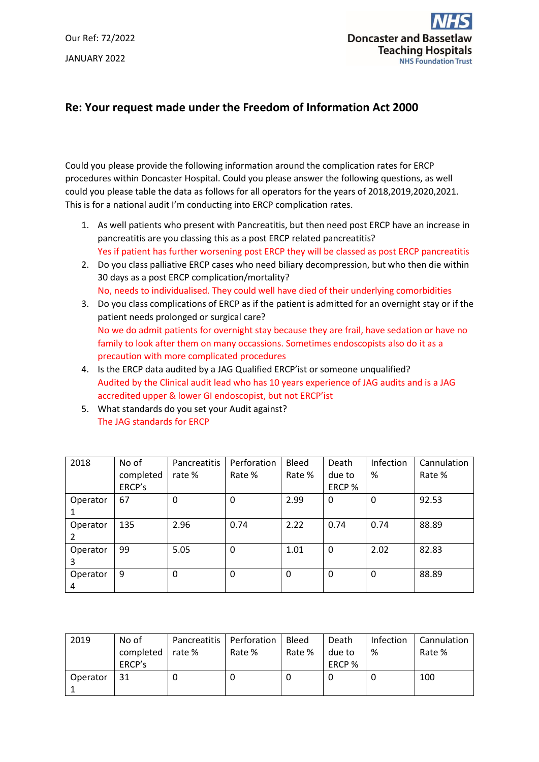Our Ref: 72/2022 JANUARY 2022



## **Re: Your request made under the Freedom of Information Act 2000**

Could you please provide the following information around the complication rates for ERCP procedures within Doncaster Hospital. Could you please answer the following questions, as well could you please table the data as follows for all operators for the years of 2018,2019,2020,2021. This is for a national audit I'm conducting into ERCP complication rates.

- 1. As well patients who present with Pancreatitis, but then need post ERCP have an increase in pancreatitis are you classing this as a post ERCP related pancreatitis? Yes if patient has further worsening post ERCP they will be classed as post ERCP pancreatitis
- 2. Do you class palliative ERCP cases who need biliary decompression, but who then die within 30 days as a post ERCP complication/mortality? No, needs to individualised. They could well have died of their underlying comorbidities
- 3. Do you class complications of ERCP as if the patient is admitted for an overnight stay or if the patient needs prolonged or surgical care? No we do admit patients for overnight stay because they are frail, have sedation or have no family to look after them on many occassions. Sometimes endoscopists also do it as a precaution with more complicated procedures
- 4. Is the ERCP data audited by a JAG Qualified ERCP'ist or someone unqualified? Audited by the Clinical audit lead who has 10 years experience of JAG audits and is a JAG accredited upper & lower GI endoscopist, but not ERCP'ist
- 5. What standards do you set your Audit against? The JAG standards for ERCP

| 2018     | No of     | Pancreatitis | Perforation | Bleed    | Death  | Infection | Cannulation |
|----------|-----------|--------------|-------------|----------|--------|-----------|-------------|
|          | completed | rate %       | Rate %      | Rate %   | due to | %         | Rate %      |
|          | ERCP's    |              |             |          | ERCP % |           |             |
| Operator | 67        | 0            | 0           | 2.99     | 0      | 0         | 92.53       |
|          |           |              |             |          |        |           |             |
| Operator | 135       | 2.96         | 0.74        | 2.22     | 0.74   | 0.74      | 88.89       |
|          |           |              |             |          |        |           |             |
| Operator | 99        | 5.05         | 0           | 1.01     | 0      | 2.02      | 82.83       |
| 3        |           |              |             |          |        |           |             |
| Operator | 9         | 0            | 0           | $\Omega$ | 0      | $\Omega$  | 88.89       |
| 4        |           |              |             |          |        |           |             |

| 2019     | No of     |        | Pancreatitis   Perforation | <b>Bleed</b> | Death  | Infection | Cannulation |
|----------|-----------|--------|----------------------------|--------------|--------|-----------|-------------|
|          | completed | rate % | Rate %                     | Rate %       | due to | %         | Rate %      |
|          | ERCP's    |        |                            |              | ERCP % |           |             |
| Operator | 31        |        | U                          |              | U      | U         | 100         |
|          |           |        |                            |              |        |           |             |